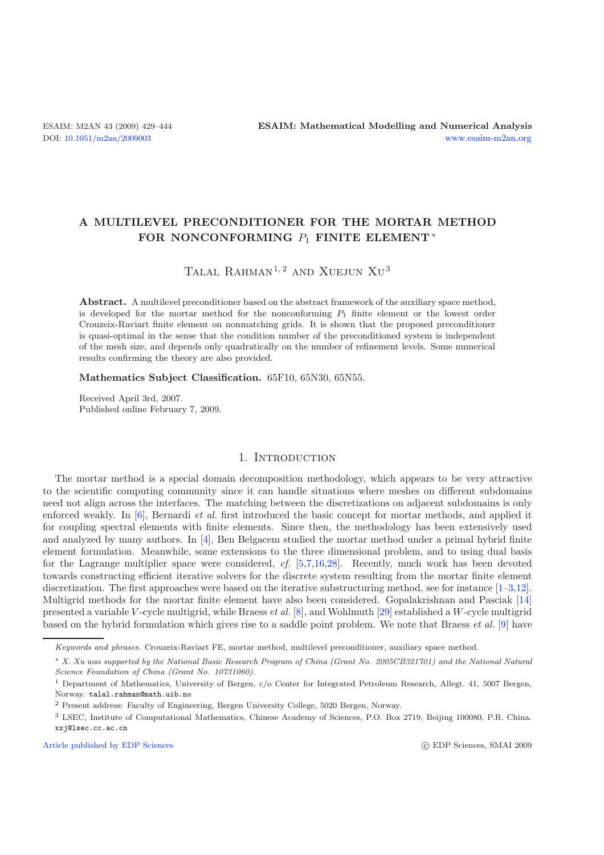# **A MULTILEVEL PRECONDITIONER FOR THE MORTAR METHOD FOR NONCONFORMING** P<sup>1</sup> **FINITE ELEMENT** <sup>∗</sup>

TALAL RAHMAN<sup>1,2</sup> AND XUEJUN XU<sup>3</sup>

**Abstract.** A multilevel preconditioner based on the abstract framework of the auxiliary space method, is developed for the mortar method for the nonconforming *P*<sup>1</sup> finite element or the lowest order Crouzeix-Raviart finite element on nonmatching grids. It is shown that the proposed preconditioner is quasi-optimal in the sense that the condition number of the preconditioned system is independent of the mesh size, and depends only quadratically on the number of refinement levels. Some numerical results confirming the theory are also provided.

**Mathematics Subject Classification.** 65F10, 65N30, 65N55.

Received April 3rd, 2007. Published online February 7, 2009.

# 1. INTRODUCTION

The mortar method is a special domain decomposition methodology, which appears to be very attractive to the scientific computing community since it can handle situations where meshes on different subdomains need not align across the interfaces. The matching between the discretizations on adjacent subdomains is only enforced weakly. In [\[6](#page-14-0)], Bernardi *et al.* first introduced the basic concept for mortar methods, and applied it for coupling spectral elements with finite elements. Since then, the methodology has been extensively used and analyzed by many authors. In [\[4\]](#page-14-1), Ben Belgacem studied the mortar method under a primal hybrid finite element formulation. Meanwhile, some extensions to the three dimensional problem, and to using dual basis for the Lagrange multiplier space were considered, *cf.* [\[5](#page-14-2)[,7](#page-14-3)[,16](#page-14-4)[,28](#page-15-0)]. Recently, much work has been devoted towards constructing efficient iterative solvers for the discrete system resulting from the mortar finite element discretization. The first approaches were based on the iterative substructuring method, see for instance  $[1-3,12]$  $[1-3,12]$  $[1-3,12]$ . Multigrid methods for the mortar finite element have also been considered. Gopalakrishnan and Pasciak [\[14](#page-14-8)] presented a variable V -cycle multigrid, while Braess *et al.* [\[8\]](#page-14-9), and Wohlmuth [\[29\]](#page-15-1) established a W-cycle multigrid based on the hybrid formulation which gives rise to a saddle point problem. We note that Braess *et al.* [\[9\]](#page-14-10) have

[Article published by EDP Sciences](http://www.edpsciences.org) c EDP Sciences c EDP Sciences, SMAI 2009

Keywords and phrases. Crouzeix-Raviart FE, mortar method, multilevel preconditioner, auxiliary space method.

<sup>∗</sup> X. Xu was supported by the National Basic Research Program of China (Grant No. 2005CB321701) and the National Natural Science Foundation of China (Grant No. 10731060).

<sup>1</sup> Department of Mathematics, University of Bergen, c/o Center for Integrated Petroleum Research, Allegt. 41, 5007 Bergen, Norway. talal.rahman@math.uib.no

<sup>2</sup> Present address: Faculty of Engineering, Bergen University College, 5020 Bergen, Norway.

<sup>3</sup> LSEC, Institute of Computational Mathematics, Chinese Academy of Sciences, P.O. Box 2719, Beijing 100080, P.R. China. xxj@lsec.cc.ac.cn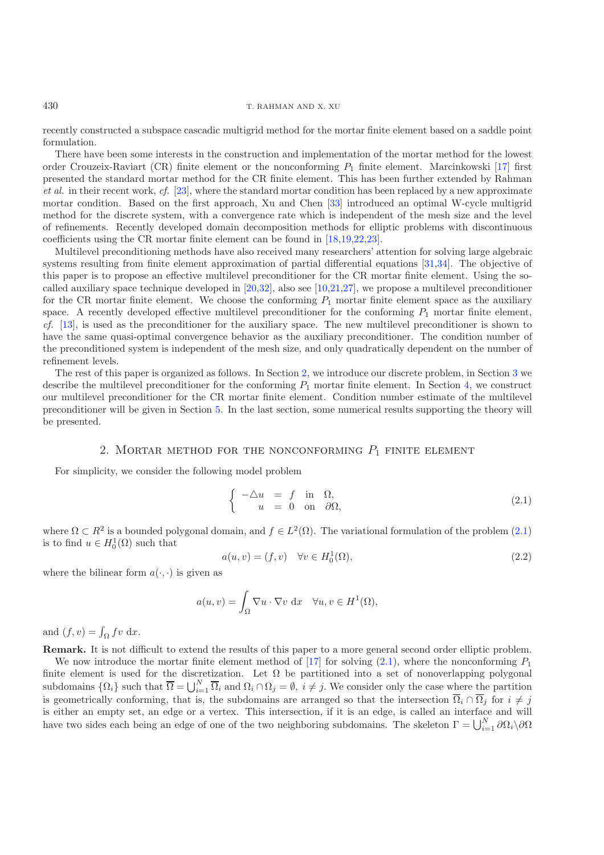430 T. RAHMAN AND X. XU

recently constructed a subspace cascadic multigrid method for the mortar finite element based on a saddle point formulation.

There have been some interests in the construction and implementation of the mortar method for the lowest order Crouzeix-Raviart (CR) finite element or the nonconforming  $P_1$  finite element. Marcinkowski [\[17\]](#page-14-11) first presented the standard mortar method for the CR finite element. This has been further extended by Rahman *et al.* in their recent work, *cf.* [\[23\]](#page-15-2), where the standard mortar condition has been replaced by a new approximate mortar condition. Based on the first approach, Xu and Chen [\[33\]](#page-15-3) introduced an optimal W-cycle multigrid method for the discrete system, with a convergence rate which is independent of the mesh size and the level of refinements. Recently developed domain decomposition methods for elliptic problems with discontinuous coefficients using the CR mortar finite element can be found in [\[18](#page-14-12)[,19](#page-14-13)[,22](#page-15-4)[,23\]](#page-15-2).

Multilevel preconditioning methods have also received many researchers' attention for solving large algebraic systems resulting from finite element approximation of partial differential equations [\[31](#page-15-5)[,34\]](#page-15-6). The objective of this paper is to propose an effective multilevel preconditioner for the CR mortar finite element. Using the socalled auxiliary space technique developed in  $[20,32]$  $[20,32]$ , also see  $[10,21,27]$  $[10,21,27]$  $[10,21,27]$ , we propose a multilevel preconditioner for the CR mortar finite element. We choose the conforming  $P_1$  mortar finite element space as the auxiliary space. A recently developed effective multilevel preconditioner for the conforming  $P_1$  mortar finite element, *cf.* [\[13\]](#page-14-17), is used as the preconditioner for the auxiliary space. The new multilevel preconditioner is shown to have the same quasi-optimal convergence behavior as the auxiliary preconditioner. The condition number of the preconditioned system is independent of the mesh size, and only quadratically dependent on the number of refinement levels.

<span id="page-1-1"></span>The rest of this paper is organized as follows. In Section [2,](#page-1-0) we introduce our discrete problem, in Section [3](#page-3-0) we describe the multilevel preconditioner for the conforming  $P_1$  mortar finite element. In Section [4,](#page-6-0) we construct our multilevel preconditioner for the CR mortar finite element. Condition number estimate of the multilevel preconditioner will be given in Section [5.](#page-8-0) In the last section, some numerical results supporting the theory will be presented.

#### <span id="page-1-2"></span>2. MORTAR METHOD FOR THE NONCONFORMING  $P_1$  finite element

<span id="page-1-0"></span>For simplicity, we consider the following model problem

$$
\begin{cases}\n-\Delta u = f \text{ in } \Omega, \\
u = 0 \text{ on } \partial\Omega,\n\end{cases}
$$
\n(2.1)

where  $\Omega \subset R^2$  is a bounded polygonal domain, and  $f \in L^2(\Omega)$ . The variational formulation of the problem  $(2.1)$ is to find  $u \in H_0^1(\Omega)$  such that

$$
a(u, v) = (f, v) \quad \forall v \in H_0^1(\Omega), \tag{2.2}
$$

where the bilinear form  $a(\cdot, \cdot)$  is given as

$$
a(u, v) = \int_{\Omega} \nabla u \cdot \nabla v \, dx \quad \forall u, v \in H^{1}(\Omega),
$$

and  $(f, v) = \int_{\Omega} fv \, dx$ .

**Remark.** It is not difficult to extend the results of this paper to a more general second order elliptic problem.

We now introduce the mortar finite element method of [\[17](#page-14-11)] for solving  $(2.1)$ , where the nonconforming  $P_1$ finite element is used for the discretization. Let  $\Omega$  be partitioned into a set of nonoverlapping polygonal subdomains  $\{\Omega_i\}$  such that  $\overline{\Omega} = \bigcup_{i=1}^N \overline{\Omega}_i$  and  $\Omega_i \cap \Omega_j = \emptyset$ ,  $i \neq j$ . We consider only the case where the partition is geometrically conforming, that is, the subdomains are arranged so that the intersection  $\overline{\Omega}_i \cap \overline{\Omega}_j$  for  $i \neq j$ is either an empty set, an edge or a vertex. This intersection, if it is an edge, is called an interface and will have two sides each being an edge of one of the two neighboring subdomains. The skeleton  $\Gamma = \bigcup_{i=1}^{N} \partial \Omega_i \setminus \partial \Omega$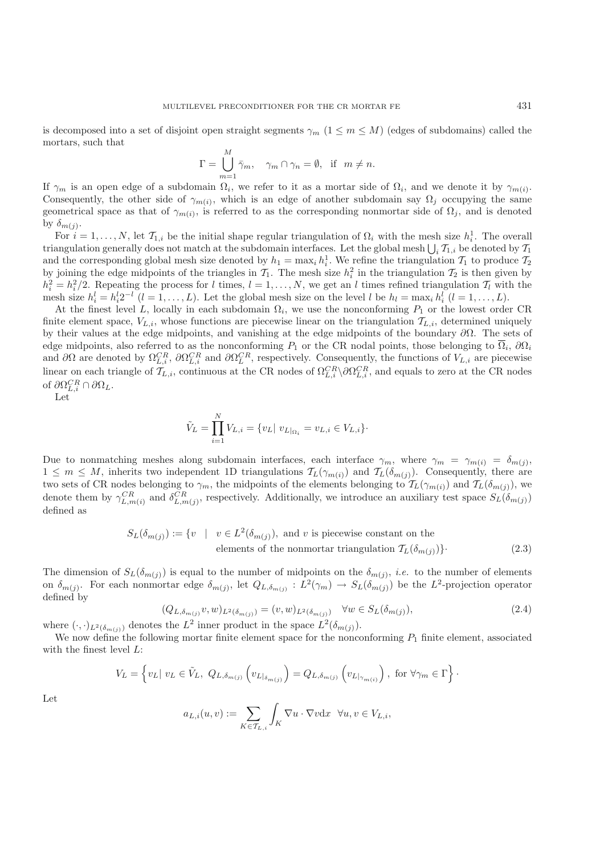is decomposed into a set of disjoint open straight segments  $\gamma_m$  ( $1 \leq m \leq M$ ) (edges of subdomains) called the mortars, such that

$$
\Gamma = \bigcup_{m=1}^{M} \bar{\gamma}_m, \quad \gamma_m \cap \gamma_n = \emptyset, \text{ if } m \neq n.
$$

If  $\gamma_m$  is an open edge of a subdomain  $\Omega_i$ , we refer to it as a mortar side of  $\Omega_i$ , and we denote it by  $\gamma_{m(i)}$ . Consequently, the other side of  $\gamma_{m(i)}$ , which is an edge of another subdomain say  $\Omega_j$  occupying the same geometrical space as that of  $\gamma_{m(i)}$ , is referred to as the corresponding nonmortar side of  $\Omega_j$ , and is denoted by  $\delta_{m(j)}$ .

For  $i = 1, ..., N$ , let  $\mathcal{T}_{1,i}$  be the initial shape regular triangulation of  $\Omega_i$  with the mesh size  $h_i^1$ . The overall triangulation generally does not match at the subdomain interfaces. Let the global mesh  $\bigcup_i \mathcal{T}_{1,i}$  be denoted by  $\mathcal{T}_1$ and the corresponding global mesh size denoted by  $h_1 = \max_i h_i^1$ . We refine the triangulation  $\mathcal{T}_1$  to produce  $\mathcal{T}_2$ by joining the edge midpoints of the triangles in  $\mathcal{T}_1$ . The mesh size  $h_i^2$  in the triangulation  $\mathcal{T}_2$  is then given by  $h_i^2 = h_i^2/2$ . Repeating the process for l times,  $l = 1, ..., N$ , we get an l times refined triang mesh size  $h_i^l = h_i^l 2^{-l}$   $(l = 1, ..., L)$ . Let the global mesh size on the level l be  $h_l = \max_i h_i^l$   $(l = 1, ..., L)$ .

At the finest level L, locally in each subdomain  $\Omega_i$ , we use the nonconforming  $P_1$  or the lowest order CR finite element space,  $V_{L,i}$ , whose functions are piecewise linear on the triangulation  $\mathcal{T}_{L,i}$ , determined uniquely by their values at the edge midpoints, and vanishing at the edge midpoints of the boundary  $\partial\Omega$ . The sets of edge midpoints, also referred to as the nonconforming  $P_1$  or the CR nodal points, those belonging to  $\overline{\Omega}_i$ ,  $\partial\Omega_i$ and  $\partial\Omega$  are denoted by  $\Omega_{L,i}^{CR}$ ,  $\partial\Omega_{L,i}^{CR}$  and  $\partial\Omega_{L}^{CR}$ , respectively. Consequently, the functions of  $V_{L,i}$  are piecewise linear on each triangle of  $\mathcal{T}_{L,i}$ , continuous at the CR nodes of  $\Omega_{L,i}^{CR} \setminus \partial \Omega_{L,i}^{CR}$ , and equals to zero at the CR nodes of  $\partial \Omega_{L,i}^{CR} \cap \partial \Omega_L$ .

Let

$$
\tilde{V}_L = \prod_{i=1}^N V_{L,i} = \{v_L | \ v_{L|_{\Omega_i}} = v_{L,i} \in V_{L,i}\}.
$$

Due to nonmatching meshes along subdomain interfaces, each interface  $\gamma_m$ , where  $\gamma_m = \gamma_{m(i)} = \delta_{m(j)}$ ,  $1 \leq m \leq M$ , inherits two independent 1D triangulations  $\mathcal{T}_L(\gamma_{m(i)})$  and  $\mathcal{T}_L(\delta_{m(j)})$ . Consequently, there are two sets of CR nodes belonging to  $\gamma_m$ , the midpoints of the elements belonging to  $\mathcal{T}_L(\gamma_{m(i)})$  and  $\mathcal{T}_L(\delta_{m(j)})$ , we denote them by  $\gamma_{L,m(i)}^{CR}$  and  $\delta_{L,m(j)}^{CR}$ , respectively. Additionally, we introduce an auxiliary test space  $S_L(\delta_{m(j)})$ defined as

$$
S_L(\delta_{m(j)}) := \{ v \mid v \in L^2(\delta_{m(j)}), \text{ and } v \text{ is piecewise constant on the elements of the nonmortar triangulation } \mathcal{T}_L(\delta_{m(j)}) \}. \tag{2.3}
$$

The dimension of  $S_L(\delta_{m(j)})$  is equal to the number of midpoints on the  $\delta_{m(j)}$ , *i.e.* to the number of elements on  $\delta_{m(j)}$ . For each nonmortar edge  $\delta_{m(j)}$ , let  $Q_{L,\delta_{m(j)}} : L^2(\gamma_m) \to S_L(\delta_{m(j)})$  be the  $L^2$ -projection operator defined by

$$
(Q_{L,\delta_{m(j)}}v,w)_{L^2(\delta_{m(j)})} = (v,w)_{L^2(\delta_{m(j)})} \quad \forall w \in S_L(\delta_{m(j)}),
$$
\n(2.4)

where  $(\cdot, \cdot)_{L^2(\delta_{m(j)})}$  denotes the  $L^2$  inner product in the space  $L^2(\delta_{m(j)})$ .

We now define the following mortar finite element space for the nonconforming  $P_1$  finite element, associated with the finest level  $L$ :

$$
V_L = \left\{ v_L | v_L \in \tilde{V}_L, Q_{L, \delta_{m(j)}} \left( v_{L |_{\delta_{m(j)}}} \right) = Q_{L, \delta_{m(j)}} \left( v_{L |_{\gamma_{m(i)}}} \right), \text{ for } \forall \gamma_m \in \Gamma \right\}.
$$

Let

$$
a_{L,i}(u,v):=\sum_{K\in\mathcal{T}_{L,i}}\int_K\nabla u\cdot\nabla v\mathrm{d} x\ \ \forall u,v\in V_{L,i},
$$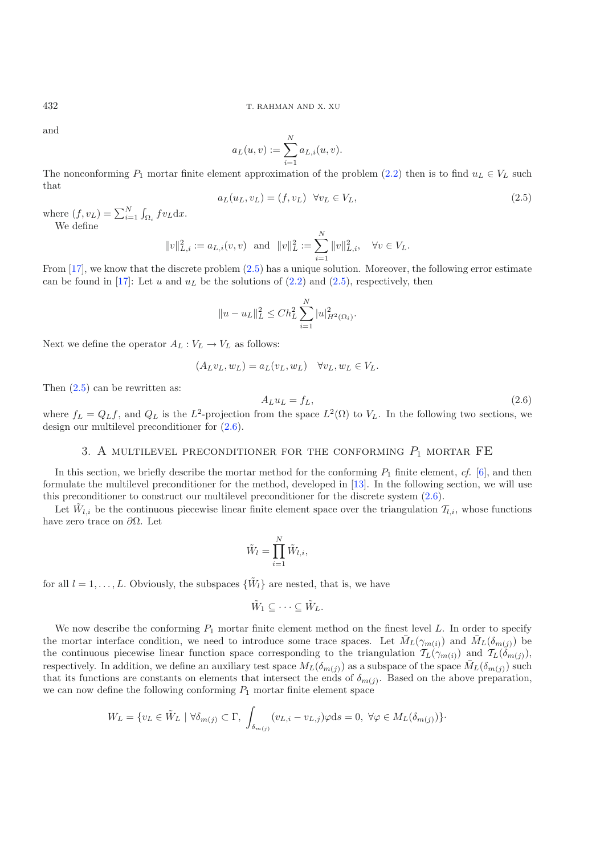and

$$
a_L(u, v) := \sum_{i=1}^N a_{L,i}(u, v).
$$

The nonconforming  $P_1$  mortar finite element approximation of the problem [\(2.2\)](#page-1-2) then is to find  $u_L \in V_L$  such that

$$
a_L(u_L, v_L) = (f, v_L) \quad \forall v_L \in V_L,
$$
\n
$$
(2.5)
$$

where  $(f, v_L) = \sum_{i=1}^{N} \int_{\Omega_i} f v_L dx$ . We define

$$
||v||_{L,i}^2 := a_{L,i}(v, v)
$$
 and  $||v||_L^2 := \sum_{i=1}^N ||v||_{L,i}^2$ ,  $\forall v \in V_L$ .

From [\[17](#page-14-11)], we know that the discrete problem [\(2.5\)](#page-3-1) has a unique solution. Moreover, the following error estimate can be found in [\[17](#page-14-11)]: Let u and  $u<sub>L</sub>$  be the solutions of [\(2.2\)](#page-1-2) and [\(2.5\)](#page-3-1), respectively, then

$$
||u - u_L||_L^2 \le Ch_L^2 \sum_{i=1}^N |u|_{H^2(\Omega_i)}^2.
$$

Next we define the operator  $A_L: V_L \to V_L$  as follows:

$$
(A_L v_L, w_L) = a_L(v_L, w_L) \quad \forall v_L, w_L \in V_L.
$$

Then [\(2.5\)](#page-3-1) can be rewritten as:

$$
A_L u_L = f_L,\tag{2.6}
$$

<span id="page-3-0"></span>where  $f_L = Q_L f$ , and  $Q_L$  is the  $L^2$ -projection from the space  $L^2(\Omega)$  to  $V_L$ . In the following two sections, we design our multilevel preconditioner for [\(2.6\)](#page-3-2).

#### 3. A MULTILEVEL PRECONDITIONER FOR THE CONFORMING  $P_1$  MORTAR FE

In this section, we briefly describe the mortar method for the conforming  $P_1$  finite element,  $cf.$  [\[6\]](#page-14-0), and then formulate the multilevel preconditioner for the method, developed in [\[13](#page-14-17)]. In the following section, we will use this preconditioner to construct our multilevel preconditioner for the discrete system [\(2.6\)](#page-3-2).

Let  $\tilde{W}_{l,i}$  be the continuous piecewise linear finite element space over the triangulation  $\mathcal{T}_{l,i}$ , whose functions have zero trace on  $\partial Ω$ . Let

$$
\tilde{W}_l = \prod_{i=1}^N \tilde{W}_{l,i},
$$

for all  $l = 1, \ldots, L$ . Obviously, the subspaces  $\{\tilde{W}_l\}$  are nested, that is, we have

$$
\tilde{W}_1 \subseteq \cdots \subseteq \tilde{W}_L.
$$

We now describe the conforming  $P_1$  mortar finite element method on the finest level L. In order to specify the mortar interface condition, we need to introduce some trace spaces. Let  $\bar{M}_L(\gamma_{m(i)})$  and  $\bar{M}_L(\delta_{m(j)})$  be the continuous piecewise linear function space corresponding to the triangulation  $T_L(\gamma_{m(i)})$  and  $T_L(\delta_{m(j)})$ , respectively. In addition, we define an auxiliary test space  $M_L(\delta_{m(j)})$  as a subspace of the space  $\bar{M}_L(\delta_{m(j)})$  such that its functions are constants on elements that intersect the ends of  $\delta_{m(j)}$ . Based on the above preparation, we can now define the following conforming  $P_1$  mortar finite element space

$$
W_L = \{ v_L \in \tilde{W}_L \mid \forall \delta_{m(j)} \subset \Gamma, \int_{\delta_{m(j)}} (v_{L,i} - v_{L,j}) \varphi \mathrm{d} s = 0, \ \forall \varphi \in M_L(\delta_{m(j)}) \}.
$$

<span id="page-3-2"></span><span id="page-3-1"></span>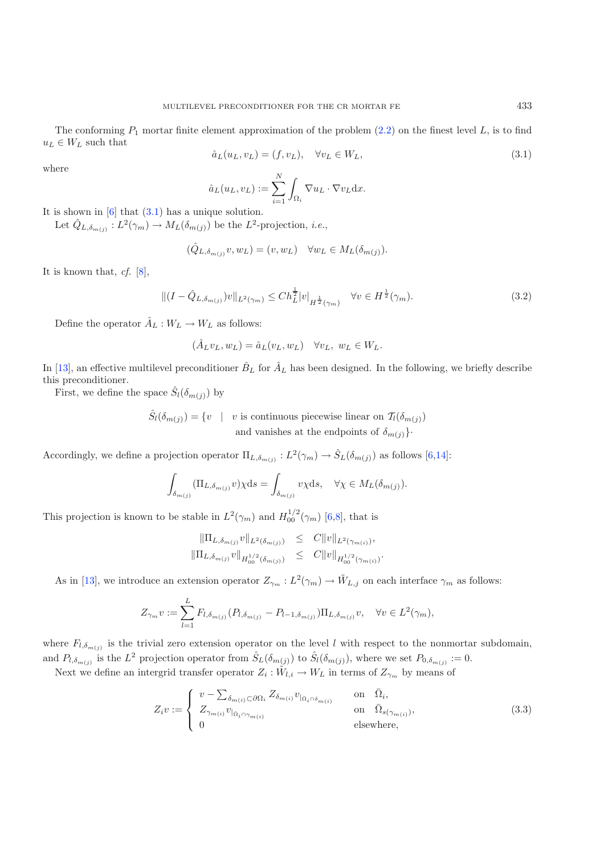<span id="page-4-1"></span><span id="page-4-0"></span>The conforming  $P_1$  mortar finite element approximation of the problem  $(2.2)$  on the finest level L, is to find  $u_L \in W_L$  such that

$$
\hat{a}_L(u_L, v_L) = (f, v_L), \quad \forall v_L \in W_L,
$$
\n
$$
(3.1)
$$

where

$$
\hat{a}_L(u_L, v_L) := \sum_{i=1}^N \int_{\Omega_i} \nabla u_L \cdot \nabla v_L \mathrm{d}x.
$$

It is shown in  $[6]$  that  $(3.1)$  has a unique solution.

Let  $\tilde{Q}_{L,\delta_{m(j)}} : L^2(\gamma_m) \to M_L(\delta_{m(j)})$  be the  $L^2$ -projection, *i.e.*,

$$
(\hat{Q}_{L,\delta_{m(j)}}v, w_L) = (v, w_L) \quad \forall w_L \in M_L(\delta_{m(j)}).
$$

It is known that, *cf.* [\[8\]](#page-14-9),

$$
\|(I - \hat{Q}_{L,\delta_{m(j)}})v\|_{L^{2}(\gamma_{m})} \le Ch_{L}^{\frac{1}{2}}|v|_{H^{\frac{1}{2}}(\gamma_{m})} \quad \forall v \in H^{\frac{1}{2}}(\gamma_{m}).
$$
\n(3.2)

Define the operator  $\hat{A}_L : W_L \to W_L$  as follows:

$$
(\hat{A}_L v_L, w_L) = \hat{a}_L(v_L, w_L) \quad \forall v_L, \ w_L \in W_L.
$$

In [\[13\]](#page-14-17), an effective multilevel preconditioner  $\hat{B}_L$  for  $\hat{A}_L$  has been designed. In the following, we briefly describe this preconditioner.

First, we define the space  $\hat{S}_l(\delta_{m(j)})$  by

$$
\hat{S}_l(\delta_{m(j)}) = \{v \mid v \text{ is continuous piecewise linear on } T_l(\delta_{m(j)})
$$
  
and vanishes at the endpoints of  $\delta_{m(j)}$ .

Accordingly, we define a projection operator  $\Pi_{L,\delta_{m(j)}} : L^2(\gamma_m) \to \hat{S}_L(\delta_{m(j)})$  as follows [\[6](#page-14-0)[,14](#page-14-8)]:

$$
\int_{\delta_{m(j)}} (\Pi_{L, \delta_{m(j)}} v) \chi ds = \int_{\delta_{m(j)}} v \chi ds, \quad \forall \chi \in M_L(\delta_{m(j)}).
$$

This projection is known to be stable in  $L^2(\gamma_m)$  and  $H_{00}^{1/2}(\gamma_m)$  [\[6](#page-14-0)[,8](#page-14-9)], that is

$$
\begin{array}{rcl}\|\Pi_{L,\delta_{m(j)}}v\|_{L^2(\delta_{m(j)})}&\leq &C\|v\|_{L^2(\gamma_{m(i)})},\\ \|\Pi_{L,\delta_{m(j)}}v\|_{H_{00}^{1/2}(\delta_{m(j)})}&\leq &C\|v\|_{H_{00}^{1/2}(\gamma_{m(i)})}.\end{array}
$$

As in [\[13](#page-14-17)], we introduce an extension operator  $Z_{\gamma_m}: L^2(\gamma_m) \to \tilde{W}_{L,j}$  on each interface  $\gamma_m$  as follows:

$$
Z_{\gamma_m} v := \sum_{l=1}^L F_{l, \delta_{m(j)}} (P_{l, \delta_{m(j)}} - P_{l-1, \delta_{m(j)}}) \Pi_{L, \delta_{m(j)}} v, \quad \forall v \in L^2(\gamma_m),
$$

where  $F_{l,\delta_{m(j)}}$  is the trivial zero extension operator on the level l with respect to the nonmortar subdomain, and  $P_{l,\delta_{m(j)}}$  is the  $L^2$  projection operator from  $\hat{S}_L(\delta_{m(j)})$  to  $\hat{S}_l(\delta_{m(j)})$ , where we set  $P_{0,\delta_{m(j)}} := 0$ .

Next we define an intergrid transfer operator  $Z_i : \tilde{W}_{l,i} \to W_L$  in terms of  $Z_{\gamma_m}$  by means of

$$
Z_i v := \begin{cases} v - \sum_{\delta_{m(i)} \subset \partial \Omega_i} Z_{\delta_{m(i)}} v_{|\Omega_i \cap \delta_{m(i)}} & \text{on } \bar{\Omega}_i, \\ Z_{\gamma_{m(i)}} v_{|\bar{\Omega}_i \cap \gamma_{m(i)}} & \text{on } \bar{\Omega}_{s(\gamma_{m(i)})}, \\ 0 & \text{elsewhere,} \end{cases}
$$
(3.3)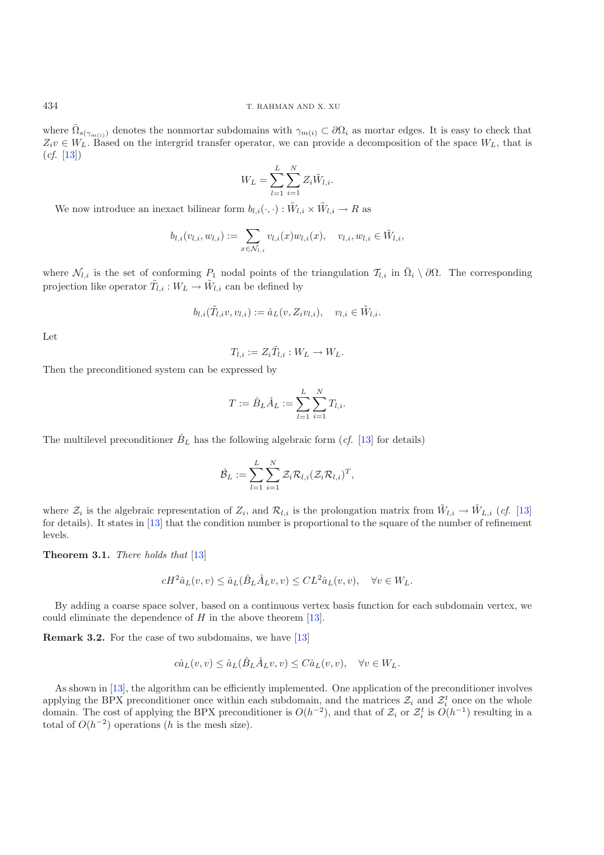where  $\overline{\Omega}_{s(\gamma_{m(i)})}$  denotes the nonmortar subdomains with  $\gamma_{m(i)} \subset \partial\Omega_i$  as mortar edges. It is easy to check that  $Z_i v \in W_L$ . Based on the intergrid transfer operator, we can provide a decomposition of the space  $W_L$ , that is  $(cf. [13])$  $(cf. [13])$  $(cf. [13])$ 

$$
W_L = \sum_{l=1}^L \sum_{i=1}^N Z_i \tilde{W}_{l,i}.
$$

We now introduce an inexact bilinear form  $b_{l,i}(\cdot,\cdot): \tilde{W}_{l,i} \times \tilde{W}_{l,i} \to R$  as

$$
b_{l,i}(v_{l,i},w_{l,i}) := \sum_{x \in \mathcal{N}_{l,i}} v_{l,i}(x)w_{l,i}(x), \quad v_{l,i},w_{l,i} \in \tilde{W}_{l,i},
$$

where  $\mathcal{N}_{l,i}$  is the set of conforming  $P_1$  nodal points of the triangulation  $\mathcal{T}_{l,i}$  in  $\overline{\Omega}_i \setminus \partial \Omega$ . The corresponding projection like operator  $\tilde{T}_{l,i}: W_L \to \tilde{W}_{l,i}$  can be defined by

$$
b_{l,i}(\tilde{T}_{l,i}v,v_{l,i}) := \hat{a}_L(v,Z_i v_{l,i}), \quad v_{l,i} \in \tilde{W}_{l,i}.
$$

Let

$$
T_{l,i} := Z_i \tilde{T}_{l,i} : W_L \to W_L.
$$

Then the preconditioned system can be expressed by

$$
T := \hat{B}_L \hat{A}_L := \sum_{l=1}^L \sum_{i=1}^N T_{l,i}.
$$

The multilevel preconditioner  $\hat{B}_L$  has the following algebraic form (*cf.* [\[13\]](#page-14-17) for details)

$$
\hat{\mathcal{B}}_L := \sum_{l=1}^L \sum_{i=1}^N \mathcal{Z}_i \mathcal{R}_{l,i} (\mathcal{Z}_i \mathcal{R}_{l,i})^T,
$$

where  $\mathcal{Z}_i$  is the algebraic representation of  $Z_i$ , and  $\mathcal{R}_{l,i}$  is the prolongation matrix from  $\tilde{W}_{l,i} \to \tilde{W}_{L,i}$  (*cf.* [\[13](#page-14-17)] for details). It states in [\[13\]](#page-14-17) that the condition number is proportional to the square of the number of refinement levels.

<span id="page-5-1"></span>**Theorem 3.1.** *There holds that* [\[13\]](#page-14-17)

$$
cH^2\hat{a}_L(v,v) \le \hat{a}_L(\hat{B}_L\hat{A}_L v,v) \le CL^2\hat{a}_L(v,v), \quad \forall v \in W_L.
$$

<span id="page-5-0"></span>By adding a coarse space solver, based on a continuous vertex basis function for each subdomain vertex, we could eliminate the dependence of  $H$  in the above theorem [\[13\]](#page-14-17).

**Remark 3.2.** For the case of two subdomains, we have [\[13\]](#page-14-17)

$$
c\hat{a}_L(v,v) \le \hat{a}_L(\hat{B}_L \hat{A}_L v, v) \le C\hat{a}_L(v,v), \quad \forall v \in W_L.
$$

As shown in [\[13\]](#page-14-17), the algorithm can be efficiently implemented. One application of the preconditioner involves applying the BPX preconditioner once within each subdomain, and the matrices  $\mathcal{Z}_i$  and  $\mathcal{Z}_i^t$  once on the whole domain. The cost of applying the BPX preconditioner is  $O(h^{-2})$ , and that of  $\mathcal{Z}_i$  or  $\mathcal{Z}_i^t$  is  $O(h^{-1})$  resulting in a total of  $O(h^{-2})$  operations (h is the mesh size).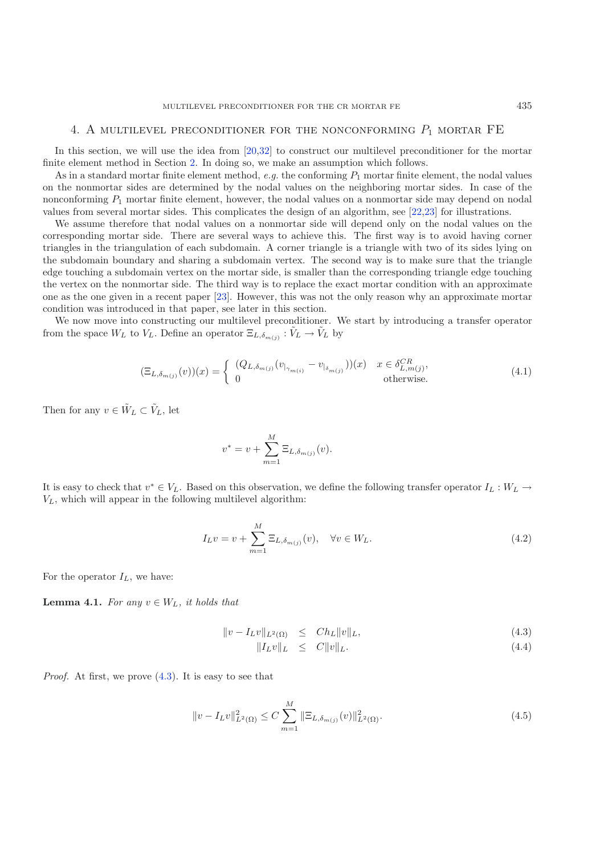#### 4. A multilevel preconditioner for the nonconforming *P*<sup>1</sup> mortar FE

<span id="page-6-0"></span>In this section, we will use the idea from [\[20](#page-14-14)[,32\]](#page-15-7) to construct our multilevel preconditioner for the mortar finite element method in Section [2.](#page-1-0) In doing so, we make an assumption which follows.

As in a standard mortar finite element method,  $e.g.$  the conforming  $P_1$  mortar finite element, the nodal values on the nonmortar sides are determined by the nodal values on the neighboring mortar sides. In case of the nonconforming  $P_1$  mortar finite element, however, the nodal values on a nonmortar side may depend on nodal values from several mortar sides. This complicates the design of an algorithm, see [\[22](#page-15-4)[,23](#page-15-2)] for illustrations.

We assume therefore that nodal values on a nonmortar side will depend only on the nodal values on the corresponding mortar side. There are several ways to achieve this. The first way is to avoid having corner triangles in the triangulation of each subdomain. A corner triangle is a triangle with two of its sides lying on the subdomain boundary and sharing a subdomain vertex. The second way is to make sure that the triangle edge touching a subdomain vertex on the mortar side, is smaller than the corresponding triangle edge touching the vertex on the nonmortar side. The third way is to replace the exact mortar condition with an approximate one as the one given in a recent paper [\[23](#page-15-2)]. However, this was not the only reason why an approximate mortar condition was introduced in that paper, see later in this section.

We now move into constructing our multilevel preconditioner. We start by introducing a transfer operator from the space  $W_L$  to  $V_L$ . Define an operator  $\Xi_{L,\delta_{m(j)}} : V_L \to V_L$  by

$$
(\Xi_{L,\delta_{m(j)}}(v))(x) = \begin{cases} (Q_{L,\delta_{m(j)}}(v_{|_{\gamma_{m(i)}}} - v_{|_{\delta_{m(j)}}})) (x) & x \in \delta_{L,m(j)}^{CR}, \\ 0 & \text{otherwise.} \end{cases}
$$
(4.1)

Then for any  $v \in \tilde{W}_L \subset \tilde{V}_L$ , let

$$
v^* = v + \sum_{m=1}^{M} \Xi_{L, \delta_{m(j)}}(v).
$$

It is easy to check that  $v^* \in V_L$ . Based on this observation, we define the following transfer operator  $I_L : W_L \to$  $V_L$ , which will appear in the following multilevel algorithm:

$$
I_{L}v = v + \sum_{m=1}^{M} \Xi_{L,\delta_{m(j)}}(v), \quad \forall v \in W_{L}.
$$
\n(4.2)

<span id="page-6-2"></span>For the operator  $I_L$ , we have:

**Lemma 4.1.** *For any*  $v \in W_L$ *, it holds that* 

<span id="page-6-1"></span>
$$
||v - I_L v||_{L^2(\Omega)} \le Ch_L ||v||_L, \tag{4.3}
$$

$$
||I_L v||_L \leq C||v||_L. \tag{4.4}
$$

*Proof.* At first, we prove  $(4.3)$ . It is easy to see that

$$
||v - I_L v||_{L^2(\Omega)}^2 \le C \sum_{m=1}^M ||\Xi_{L,\delta_{m(j)}}(v)||_{L^2(\Omega)}^2.
$$
\n(4.5)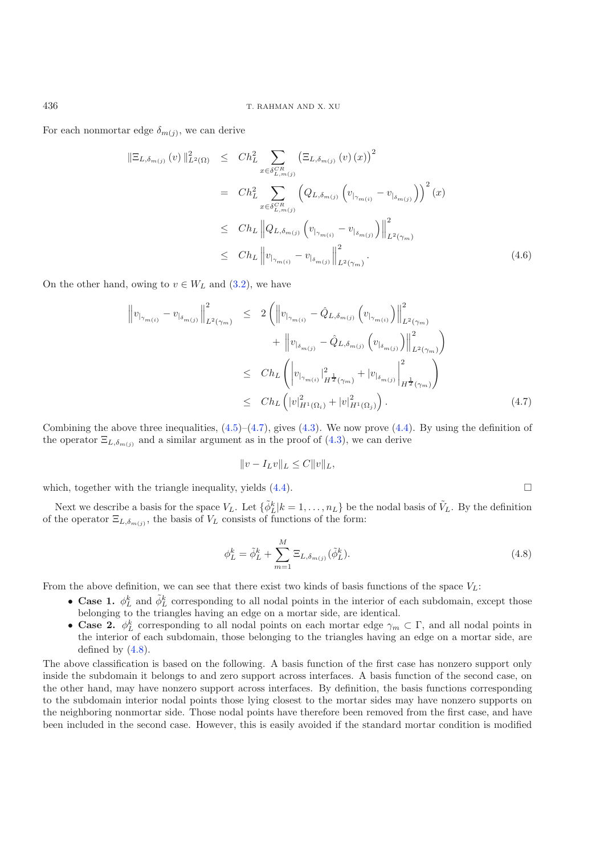For each nonmortar edge  $\delta_{m(j)}$ , we can derive

$$
\|\Xi_{L,\delta_{m(j)}}(v)\|_{L^{2}(\Omega)}^{2} \le Ch_{L}^{2} \sum_{x \in \delta_{L,m(j)}^{CR}} (\Xi_{L,\delta_{m(j)}}(v)(x))^{2}
$$
\n
$$
= Ch_{L}^{2} \sum_{x \in \delta_{L,m(j)}^{CR}} \left(Q_{L,\delta_{m(j)}} \left(v_{|_{\gamma_{m(i)}}} - v_{|_{\delta_{m(j)}}}\right)\right)^{2}(x)
$$
\n
$$
\le Ch_{L} \|Q_{L,\delta_{m(j)}} \left(v_{|_{\gamma_{m(i)}}} - v_{|_{\delta_{m(j)}}}\right)\|_{L^{2}(\gamma_{m})}^{2}
$$
\n
$$
\le Ch_{L} \|v_{|_{\gamma_{m(i)}}} - v_{|_{\delta_{m(j)}}}\|_{L^{2}(\gamma_{m})}^{2}.
$$
\n(4.6)

<span id="page-7-0"></span>On the other hand, owing to  $v \in W_L$  and  $(3.2)$ , we have

<span id="page-7-1"></span>
$$
\|v_{|\gamma_{m(i)}} - v_{|\delta_{m(j)}}\|_{L^{2}(\gamma_{m})}^{2} \leq 2 \left( \|v_{|\gamma_{m(i)}} - \hat{Q}_{L,\delta_{m(j)}} \left(v_{|\gamma_{m(i)}}\right)\|_{L^{2}(\gamma_{m})}^{2} + \|v_{|\delta_{m(j)}} - \hat{Q}_{L,\delta_{m(j)}} \left(v_{|\delta_{m(j)}}\right)\|_{L^{2}(\gamma_{m})}^{2} \right)
$$
  

$$
\leq Ch_{L} \left( |v_{|\gamma_{m(i)}}|_{H^{\frac{1}{2}}(\gamma_{m})}^{2} + |v_{|\delta_{m(j)}}|_{H^{\frac{1}{2}}(\gamma_{m})}^{2} \right)
$$
  

$$
\leq Ch_{L} \left( |v|_{H^{1}(\Omega_{i})}^{2} + |v|_{H^{1}(\Omega_{j})}^{2} \right).
$$
 (4.7)

Combining the above three inequalities,  $(4.5)$ – $(4.7)$ , gives  $(4.3)$ . We now prove  $(4.4)$ . By using the definition of the operator  $\Xi_{L,\delta_{m(i)}}$  and a similar argument as in the proof of  $(4.3)$ , we can derive

$$
||v - I_L v||_L \leq C||v||_L,
$$

which, together with the triangle inequality, yields  $(4.4)$ .

Next we describe a basis for the space  $V_L$ . Let  $\{\tilde{\phi}_L^k | k = 1, \ldots, n_L\}$  be the nodal basis of  $\tilde{V}_L$ . By the definition of the operator  $\Xi_{L,\delta_{m(i)}}$ , the basis of  $V_L$  consists of functions of the form:

$$
\phi_L^k = \tilde{\phi}_L^k + \sum_{m=1}^M \Xi_{L, \delta_{m(j)}}(\tilde{\phi}_L^k).
$$
\n(4.8)

 $\Box$ 

From the above definition, we can see that there exist two kinds of basis functions of the space  $V_L$ :

- **Case 1.**  $\phi_L^k$  and  $\tilde{\phi}_L^k$  corresponding to all nodal points in the interior of each subdomain, except those belonging to the triangles having an edge on a mortar side, are identical.
- **Case 2.**  $\phi_L^k$  corresponding to all nodal points on each mortar edge  $\gamma_m \subset \Gamma$ , and all nodal points in the interior of each subdomain, those belonging to the triangles having an edge on a mortar side, are defined by  $(4.8)$ .

The above classification is based on the following. A basis function of the first case has nonzero support only inside the subdomain it belongs to and zero support across interfaces. A basis function of the second case, on the other hand, may have nonzero support across interfaces. By definition, the basis functions corresponding to the subdomain interior nodal points those lying closest to the mortar sides may have nonzero supports on the neighboring nonmortar side. Those nodal points have therefore been removed from the first case, and have been included in the second case. However, this is easily avoided if the standard mortar condition is modified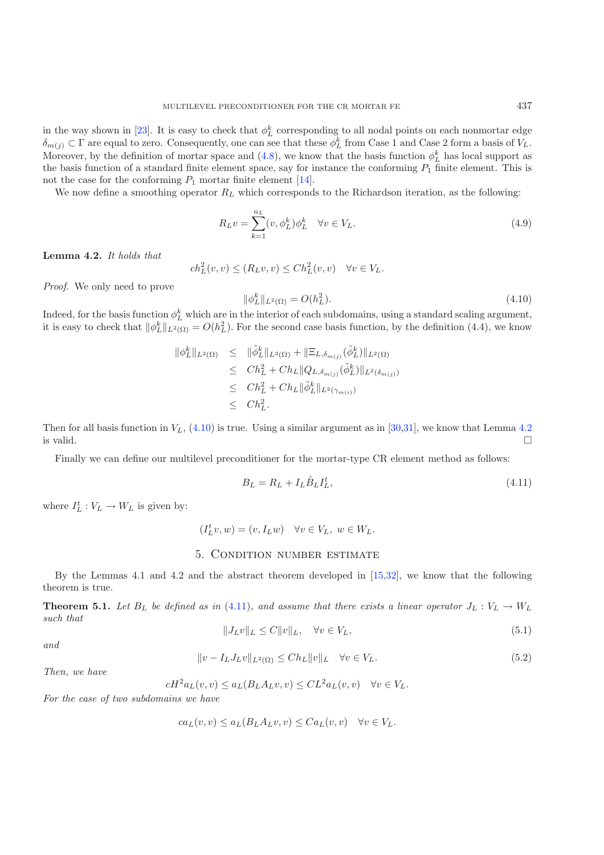in the way shown in [\[23](#page-15-2)]. It is easy to check that  $\phi_L^k$  corresponding to all nodal points on each nonmortar edge  $\delta_{m(j)} \subset \Gamma$  are equal to zero. Consequently, one can see that these  $\phi_L^k$  from Case 1 and Case 2 form a basis of  $V_L$ . Moreover, by the definition of mortar space and [\(4.8\)](#page-7-1), we know that the basis function  $\phi_L^k$  has local support as the basis function of a standard finite element space, say for instance the conforming  $P_1$  finite element. This is not the case for the conforming  $P_1$  mortar finite element [\[14\]](#page-14-8).

We now define a smoothing operator  $R_L$  which corresponds to the Richardson iteration, as the following:

<span id="page-8-1"></span>
$$
R_L v = \sum_{k=1}^{n_L} (v, \phi_L^k) \phi_L^k \quad \forall v \in V_L.
$$
\n(4.9)

**Lemma 4.2.** *It holds that*

 $ch_L^2(v, v) \le (R_L v, v) \le Ch_L^2(v, v) \quad \forall v \in V_L.$ 

*Proof.* We only need to prove

$$
\|\phi_L^k\|_{L^2(\Omega)} = O(h_L^2). \tag{4.10}
$$

Indeed, for the basis function  $\phi_L^k$  which are in the interior of each subdomains, using a standard scaling argument, it is easy to check that  $\|\phi_L^k\|_{L^2(\Omega)} = O(h_L^2)$ . For the second case basis function, by the definition (4.4), we know

<span id="page-8-2"></span>
$$
\begin{array}{rcl}\n\|\phi_L^k\|_{L^2(\Omega)} & \leq & \|\tilde{\phi}_L^k\|_{L^2(\Omega)} + \|\Xi_{L,\delta_{m(j)}}(\tilde{\phi}_L^k)\|_{L^2(\Omega)} \\
& \leq & Ch_L^2 + Ch_L \|Q_{L,\delta_{m(j)}}(\tilde{\phi}_L^k)\|_{L^2(\delta_{m(j)})} \\
& \leq & Ch_L^2 + Ch_L \|\tilde{\phi}_L^k\|_{L^2(\gamma_{m(i)})} \\
& \leq & Ch_L^2.\n\end{array}
$$

Then for all basis function in  $V_L$ , [\(4.10\)](#page-8-1) is true. Using a similar argument as in [\[30](#page-15-9)[,31\]](#page-15-5), we know that Lemma [4.2](#page-5-0) is valid.  $\square$  $\Box$ 

Finally we can define our multilevel preconditioner for the mortar-type CR element method as follows:

$$
B_L = R_L + I_L \hat{B}_L I_L^t,\tag{4.11}
$$

where  $I_L^t : V_L \to W_L$  is given by:

<span id="page-8-4"></span><span id="page-8-3"></span>
$$
(I_L^t v, w) = (v, I_L w) \quad \forall v \in V_L, \ w \in W_L.
$$

## 5. Condition number estimate

<span id="page-8-0"></span>By the Lemmas 4.1 and 4.2 and the abstract theorem developed in [\[15](#page-14-18)[,32](#page-15-7)], we know that the following theorem is true.

**Theorem 5.1.** *Let*  $B_L$  *be defined as in* [\(4.11\)](#page-8-2)*, and assume that there exists a linear operator*  $J_L : V_L \to W_L$ *such that*

$$
||J_L v||_L \le C||v||_L, \quad \forall v \in V_L,
$$
\n
$$
(5.1)
$$

*and*

$$
||v - I_L J_L v||_{L^2(\Omega)} \le Ch_L ||v||_L \quad \forall v \in V_L.
$$
\n
$$
(5.2)
$$

*Then, we have*

$$
cH^2a_L(v,v) \le a_L(B_L A_L v,v) \le CL^2a_L(v,v) \quad \forall v \in V_L.
$$

*For the case of two subdomains we have*

$$
ca_L(v,v) \le a_L(B_L A_L v,v) \le Ca_L(v,v) \quad \forall v \in V_L.
$$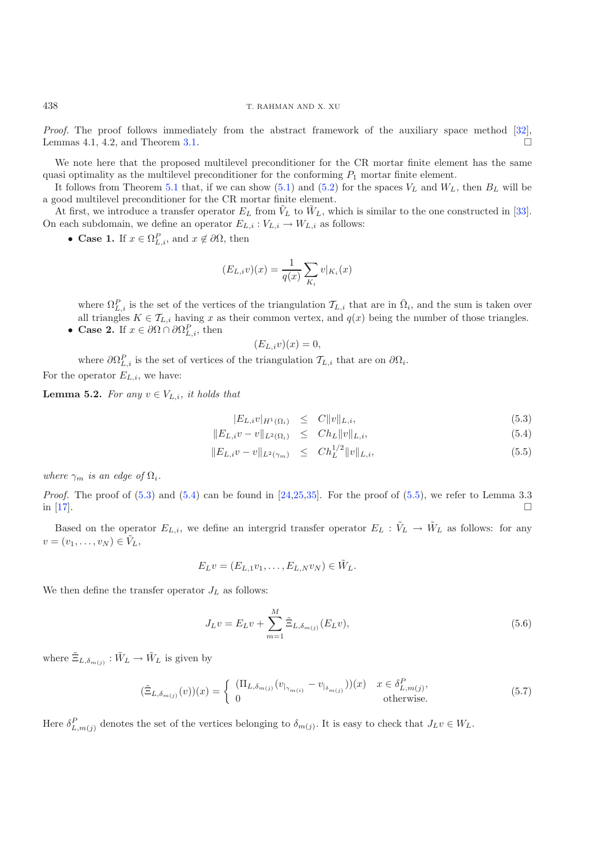*Proof.* The proof follows immediately from the abstract framework of the auxiliary space method [\[32\]](#page-15-7), Lemmas 4.1, 4.2, and Theorem [3.1.](#page-5-1)  $\Box$ 

We note here that the proposed multilevel preconditioner for the CR mortar finite element has the same quasi optimality as the multilevel preconditioner for the conforming  $P_1$  mortar finite element.

It follows from Theorem [5.1](#page-5-1) that, if we can show [\(5.1\)](#page-8-3) and [\(5.2\)](#page-8-4) for the spaces  $V_L$  and  $W_L$ , then  $B_L$  will be a good multilevel preconditioner for the CR mortar finite element.

At first, we introduce a transfer operator  $E_L$  from  $\tilde{V}_L$  to  $\tilde{W}_L$ , which is similar to the one constructed in [\[33\]](#page-15-3). On each subdomain, we define an operator  $E_{L,i}: V_{L,i} \rightarrow W_{L,i}$  as follows:

• **Case 1.** If  $x \in \Omega_{L,i}^P$ , and  $x \notin \partial\Omega$ , then

$$
(E_{L,i}v)(x) = \frac{1}{q(x)} \sum_{K_i} v|_{K_i}(x)
$$

where  $\Omega_{L,i}^P$  is the set of the vertices of the triangulation  $\mathcal{T}_{L,i}$  that are in  $\overline{\Omega}_i$ , and the sum is taken over all triangles  $K \in \mathcal{T}_{L,i}$  having x as their common vertex, and  $q(x)$  being the number of those triangles. • **Case 2.** If  $x \in \partial\Omega \cap \partial\Omega_{L,i}^P$ , then

$$
(E_{L,i}v)(x) = 0,
$$

where  $\partial \Omega_{L,i}^P$  is the set of vertices of the triangulation  $\mathcal{T}_{L,i}$  that are on  $\partial \Omega_i$ . For the operator  $E_{L,i}$ , we have:

**Lemma 5.2.** *For any*  $v \in V_{L,i}$ *, it holds that* 

$$
|E_{L,i}v|_{H^1(\Omega_i)} \leq C \|v\|_{L,i}, \tag{5.3}
$$

<span id="page-9-0"></span>
$$
||E_{L,i}v - v||_{L^{2}(\Omega_{i})} \leq Ch_{L}||v||_{L,i}, \qquad (5.4)
$$

$$
||E_{L,i}v - v||_{L^{2}(\gamma_{m})} \leq Ch_{L}^{1/2}||v||_{L,i}, \tag{5.5}
$$

*where*  $\gamma_m$  *is an edge of*  $\Omega_i$ *.* 

*Proof.* The proof of  $(5.3)$  and  $(5.4)$  can be found in  $[24,25,35]$  $[24,25,35]$  $[24,25,35]$ . For the proof of  $(5.5)$ , we refer to Lemma 3.3 in [\[17\]](#page-14-11).  $\Box$ 

Based on the operator  $E_{L,i}$ , we define an intergrid transfer operator  $E_L : V_L \to W_L$  as follows: for any  $v = (v_1, \ldots, v_N) \in \tilde{V}_L$ 

$$
E_L v = (E_{L,1}v_1, \ldots, E_{L,N}v_N) \in \tilde{W}_L.
$$

We then define the transfer operator  $J_L$  as follows:

$$
J_{L}v = E_{L}v + \sum_{m=1}^{M} \tilde{\Xi}_{L,\delta_{m(j)}}(E_{L}v),
$$
\n(5.6)

where  $\tilde{\Xi}_{L,\delta_{m(i)}} : \tilde{W}_L \to \tilde{W}_L$  is given by

$$
(\tilde{\Xi}_{L,\delta_{m(j)}}(v))(x) = \begin{cases} (\Pi_{L,\delta_{m(j)}}(v_{|_{\gamma_{m(i)}}} - v_{|_{\delta_{m(j)}}})) (x) & x \in \delta_{L,m(j)}^P, \\ 0 & \text{otherwise.} \end{cases}
$$
(5.7)

<span id="page-9-1"></span>Here  $\delta_{L,m(j)}^P$  denotes the set of the vertices belonging to  $\delta_{m(j)}$ . It is easy to check that  $J_L v \in W_L$ .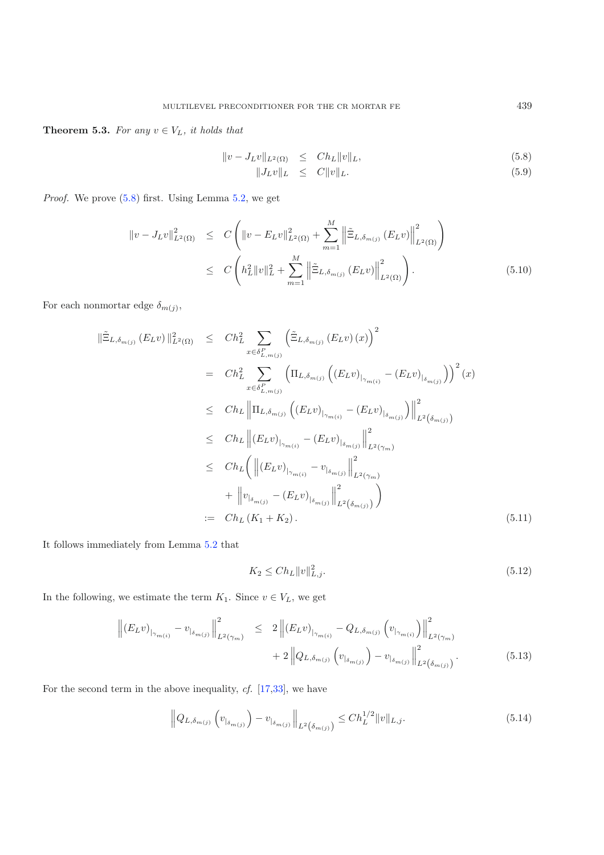**Theorem 5.3.** For any  $v \in V_L$ , it holds that

$$
||v - J_L v||_{L^2(\Omega)} \le Ch_L ||v||_L, \tag{5.8}
$$

$$
||J_L v||_L \leq C||v||_L. \tag{5.9}
$$

<span id="page-10-2"></span>*Proof.* We prove [\(5.8\)](#page-10-0) first. Using Lemma [5.2,](#page-5-0) we get

<span id="page-10-0"></span>
$$
\|v - J_L v\|_{L^2(\Omega)}^2 \le C \left( \|v - E_L v\|_{L^2(\Omega)}^2 + \sum_{m=1}^M \left\| \tilde{\Xi}_{L, \delta_{m(j)}} (E_L v) \right\|_{L^2(\Omega)}^2 \right)
$$
  

$$
\le C \left( h_L^2 \|v\|_L^2 + \sum_{m=1}^M \left\| \tilde{\Xi}_{L, \delta_{m(j)}} (E_L v) \right\|_{L^2(\Omega)}^2 \right).
$$
 (5.10)

For each nonmortar edge  $\delta_{m(j)},$ 

$$
\|\tilde{\Xi}_{L,\delta_{m(j)}}(E_{L}v)\|_{L^{2}(\Omega)}^{2} \leq Ch_{L}^{2} \sum_{x \in \delta_{L,m(j)}^{P}} \left(\tilde{\Xi}_{L,\delta_{m(j)}}(E_{L}v)(x)\right)^{2}
$$
\n
$$
= Ch_{L}^{2} \sum_{x \in \delta_{L,m(j)}^{P}} \left(\Pi_{L,\delta_{m(j)}}\left((E_{L}v)_{|_{\gamma_{m(i)}}} - (E_{L}v)_{|_{\delta_{m(j)}}}\right)\right)^{2}(x)
$$
\n
$$
\leq Ch_{L} \left\|\Pi_{L,\delta_{m(j)}}\left((E_{L}v)_{|_{\gamma_{m(i)}}} - (E_{L}v)_{|_{\delta_{m(j)}}}\right)\right\|_{L^{2}(\delta_{m(j)})}^{2}
$$
\n
$$
\leq Ch_{L} \left\|\left(E_{L}v\right)_{|_{\gamma_{m(i)}}} - \left(E_{L}v\right)_{|_{\delta_{m(j)}}}\right\|_{L^{2}(\gamma_{m})}^{2}
$$
\n
$$
\leq Ch_{L} \left(\left\|\left(E_{L}v\right)_{|_{\gamma_{m(i)}}} - v_{|_{\delta_{m(j)}}}\right\|_{L^{2}(\gamma_{m})}^{2}
$$
\n
$$
+ \left\|v_{|_{\delta_{m(j)}}} - \left(E_{L}v\right)_{|_{\delta_{m(j)}}}\right\|_{L^{2}(\delta_{m(j)})}^{2}\right)
$$
\n
$$
:= Ch_{L}(K_{1} + K_{2}). \tag{5.11}
$$

It follows immediately from Lemma [5.2](#page-5-0) that

$$
K_2 \le C h_L \|v\|_{L,j}^2. \tag{5.12}
$$

<span id="page-10-3"></span>In the following, we estimate the term  $K_1$ . Since  $v \in V_L$ , we get

<span id="page-10-1"></span>
$$
\left\| (E_{L} v)_{|_{\gamma_{m(i)}}} - v_{|_{\delta_{m(j)}}} \right\|_{L^{2}(\gamma_{m})}^{2} \leq 2 \left\| (E_{L} v)_{|_{\gamma_{m(i)}}} - Q_{L, \delta_{m(j)}} \left( v_{|_{\gamma_{m(i)}}} \right) \right\|_{L^{2}(\gamma_{m})}^{2} + 2 \left\| Q_{L, \delta_{m(j)}} \left( v_{|_{\delta_{m(j)}}} \right) - v_{|_{\delta_{m(j)}}} \right\|_{L^{2}(\delta_{m(j)})}^{2}.
$$
\n(5.13)

For the second term in the above inequality, *cf.* [\[17](#page-14-11)[,33\]](#page-15-3), we have

$$
\left\|Q_{L,\delta_{m(j)}}\left(v_{|_{\delta_{m(j)}}}\right) - v_{|_{\delta_{m(j)}}}\right\|_{L^2(\delta_{m(j)})} \le Ch_L^{1/2} \|v\|_{L,j}.
$$
\n(5.14)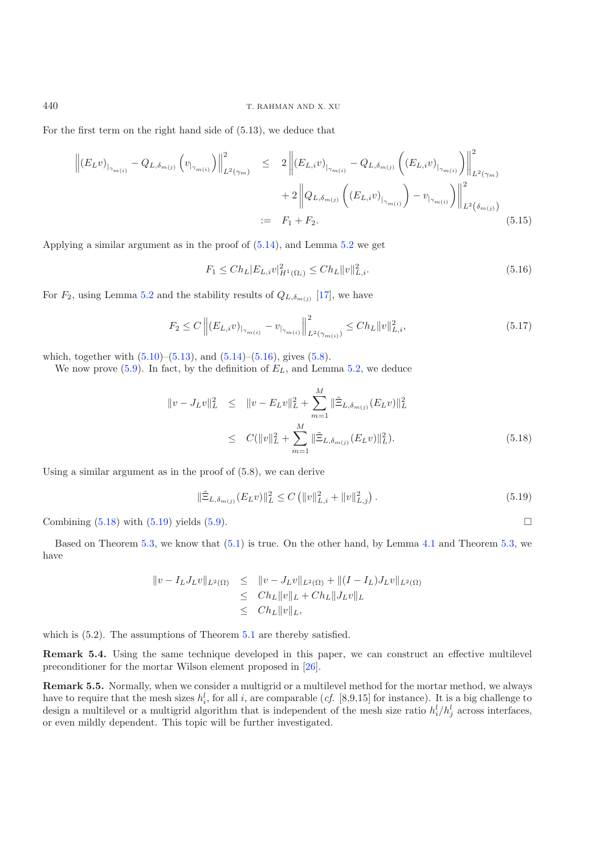For the first term on the right hand side of (5.13), we deduce that

<span id="page-11-0"></span>
$$
\left\| (E_{L}v)_{|_{\gamma_{m(i)}}} - Q_{L,\delta_{m(j)}} \left( v_{|_{\gamma_{m(i)}}} \right) \right\|_{L^{2}(\gamma_{m})}^{2} \leq 2 \left\| (E_{L,i}v)_{|_{\gamma_{m(i)}}} - Q_{L,\delta_{m(j)}} \left( (E_{L,i}v)_{|_{\gamma_{m(i)}}} \right) \right\|_{L^{2}(\gamma_{m})}^{2} + 2 \left\| Q_{L,\delta_{m(j)}} \left( (E_{L,i}v)_{|_{\gamma_{m(i)}}} \right) - v_{|_{\gamma_{m(i)}}} \right) \right\|_{L^{2}(\delta_{m(j)})}^{2}
$$
\n
$$
:= F_{1} + F_{2}.
$$
\n(5.15)

Applying a similar argument as in the proof of [\(5.14\)](#page-10-1), and Lemma [5.2](#page-5-0) we get

$$
F_1 \leq Ch_L |E_{L,i}v|_{H^1(\Omega_i)}^2 \leq Ch_L ||v||_{L,i}^2. \tag{5.16}
$$

For  $F_2$ , using Lemma [5.2](#page-5-0) and the stability results of  $Q_{L,\delta_{m(j)}}$  [\[17](#page-14-11)], we have

<span id="page-11-2"></span>
$$
F_2 \le C \left\| (E_{L,i}v)_{|_{\gamma_{m(i)}}} - v_{|_{\gamma_{m(i)}}} \right\|_{L^2(\gamma_{m(i)})}^2 \le Ch_L \|v\|_{L,i}^2,
$$
\n(5.17)

which, together with  $(5.10)$ – $(5.13)$ , and  $(5.14)$ – $(5.16)$ , gives  $(5.8)$ .

<span id="page-11-1"></span>We now prove  $(5.9)$ . In fact, by the definition of  $E_L$ , and Lemma [5.2,](#page-5-0) we deduce

$$
\|v - J_L v\|_L^2 \leq \|v - E_L v\|_L^2 + \sum_{m=1}^M \|\tilde{\Xi}_{L, \delta_{m(j)}}(E_L v)\|_L^2
$$
  

$$
\leq C(\|v\|_L^2 + \sum_{m=1}^M \|\tilde{\Xi}_{L, \delta_{m(j)}}(E_L v)\|_L^2).
$$
 (5.18)

Using a similar argument as in the proof of (5.8), we can derive

$$
\|\tilde{\Xi}_{L,\delta_{m(j)}}(E_{L}v)\|_{L}^{2} \le C \left( \|v\|_{L,i}^{2} + \|v\|_{L,j}^{2} \right). \tag{5.19}
$$

Combining  $(5.18)$  with  $(5.19)$  yields  $(5.9)$ .

Based on Theorem [5.3,](#page-9-1) we know that [\(5.1\)](#page-8-3) is true. On the other hand, by Lemma [4.1](#page-5-1) and Theorem [5.3,](#page-9-1) we have

$$
\|v - I_L J_L v\|_{L^2(\Omega)} \le \|v - J_L v\|_{L^2(\Omega)} + \|(I - I_L) J_L v\|_{L^2(\Omega)}\le Ch_L \|v\|_L + Ch_L \|J_L v\|_L\le Ch_L \|v\|_L,
$$

which is  $(5.2)$ . The assumptions of Theorem [5.1](#page-5-1) are thereby satisfied.

**Remark 5.4.** Using the same technique developed in this paper, we can construct an effective multilevel preconditioner for the mortar Wilson element proposed in [\[26\]](#page-15-13).

**Remark 5.5.** Normally, when we consider a multigrid or a multilevel method for the mortar method, we always have to require that the mesh sizes  $h_i^l$ , for all i, are comparable (*cf.* [8,9,15] for instance). It is a big challenge to design a multilevel or a multigrid algorithm that is independent of the mesh size ratio  $h_i^l/h_j^l$  across interfaces, or even mildly dependent. This topic will be further investigated.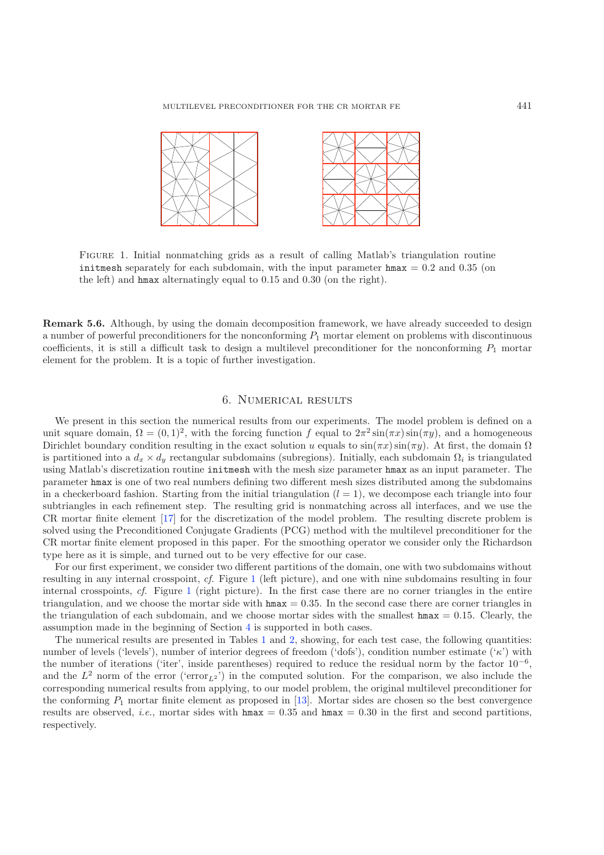<span id="page-12-0"></span>

Figure 1. Initial nonmatching grids as a result of calling Matlab's triangulation routine initmesh separately for each subdomain, with the input parameter  $\text{hmax} = 0.2$  and 0.35 (on the left) and hmax alternatingly equal to 0.15 and 0.30 (on the right).

**Remark 5.6.** Although, by using the domain decomposition framework, we have already succeeded to design a number of powerful preconditioners for the nonconforming  $P_1$  mortar element on problems with discontinuous coefficients, it is still a difficult task to design a multilevel preconditioner for the nonconforming  $P_1$  mortar element for the problem. It is a topic of further investigation.

### 6. Numerical results

We present in this section the numerical results from our experiments. The model problem is defined on a unit square domain,  $\Omega = (0, 1)^2$ , with the forcing function f equal to  $2\pi^2 \sin(\pi x) \sin(\pi y)$ , and a homogeneous Dirichlet boundary condition resulting in the exact solution u equals to  $\sin(\pi x) \sin(\pi y)$ . At first, the domain  $\Omega$ is partitioned into a  $d_x \times d_y$  rectangular subdomains (subregions). Initially, each subdomain  $\Omega_i$  is triangulated using Matlab's discretization routine initmesh with the mesh size parameter hmax as an input parameter. The parameter hmax is one of two real numbers defining two different mesh sizes distributed among the subdomains in a checkerboard fashion. Starting from the initial triangulation  $(l = 1)$ , we decompose each triangle into four subtriangles in each refinement step. The resulting grid is nonmatching across all interfaces, and we use the CR mortar finite element [\[17\]](#page-14-11) for the discretization of the model problem. The resulting discrete problem is solved using the Preconditioned Conjugate Gradients (PCG) method with the multilevel preconditioner for the CR mortar finite element proposed in this paper. For the smoothing operator we consider only the Richardson type here as it is simple, and turned out to be very effective for our case.

For our first experiment, we consider two different partitions of the domain, one with two subdomains without resulting in any internal crosspoint, *cf.* Figure [1](#page-12-0) (left picture), and one with nine subdomains resulting in four internal crosspoints, *cf.* Figure [1](#page-12-0) (right picture). In the first case there are no corner triangles in the entire triangulation, and we choose the mortar side with  $\text{hmax} = 0.35$ . In the second case there are corner triangles in the triangulation of each subdomain, and we choose mortar sides with the smallest  $hmax = 0.15$ . Clearly, the assumption made in the beginning of Section [4](#page-6-0) is supported in both cases.

The numerical results are presented in Tables [1](#page-13-0) and [2,](#page-13-1) showing, for each test case, the following quantities: number of levels ('levels'), number of interior degrees of freedom ('dofs'), condition number estimate (' $\kappa$ ') with the number of iterations ('iter', inside parentheses) required to reduce the residual norm by the factor  $10^{-6}$ , and the  $L^2$  norm of the error ('error<sub>L2</sub>') in the computed solution. For the comparison, we also include the corresponding numerical results from applying, to our model problem, the original multilevel preconditioner for the conforming  $P_1$  mortar finite element as proposed in [\[13](#page-14-17)]. Mortar sides are chosen so the best convergence results are observed, *i.e.*, mortar sides with  $hmax = 0.35$  and  $hmax = 0.30$  in the first and second partitions, respectively.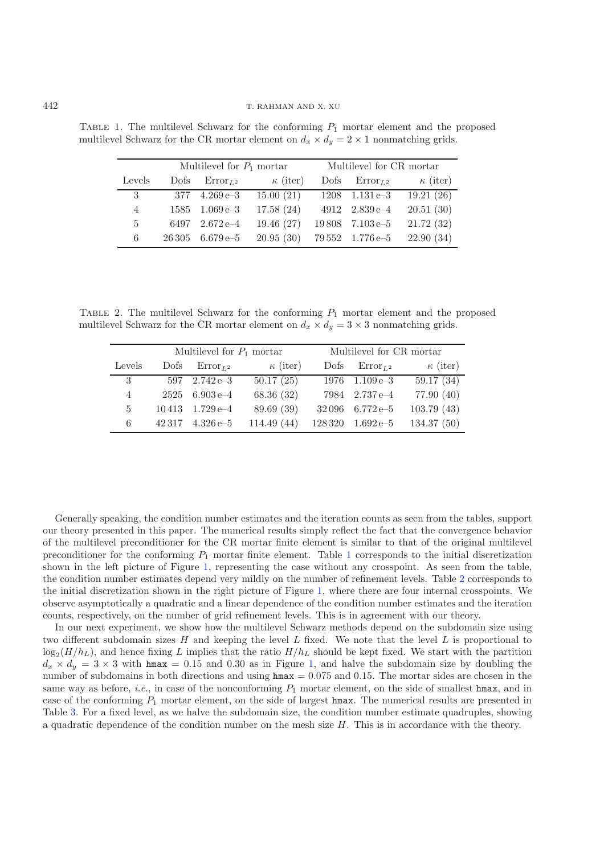|        |         | Multilevel for $P_1$ mortar  |                 | Multilevel for CR mortar |                                         |                 |  |
|--------|---------|------------------------------|-----------------|--------------------------|-----------------------------------------|-----------------|--|
| Levels | Dofs    | $Error_{L2}$                 | $\kappa$ (iter) | Dofs                     | $Error_{L^2}$                           | $\kappa$ (iter) |  |
| 3      | 377     | $4.269e - 3$                 | 15.00(21)       |                          | $1208$ $1.131e-3$                       | 19.21(26)       |  |
| 4      | 1585    | $1.069\,\mathrm{e}\text{-}3$ | 17.58(24)       |                          | $4912 \quad 2.839\,\mathrm{e}\text{-}4$ | 20.51(30)       |  |
| 5      | 6497    | $2.672e-4$                   | 19.46(27)       | 19808                    | $7.103\,\mathrm{e}{-5}$                 | 21.72(32)       |  |
| 6      | 26 30 5 | $6.679e{-5}$                 | 20.95(30)       |                          | $79\,552$ $1.776\,e-5$                  | 22.90(34)       |  |

<span id="page-13-1"></span><span id="page-13-0"></span>TABLE 1. The multilevel Schwarz for the conforming  $P_1$  mortar element and the proposed multilevel Schwarz for the CR mortar element on  $d_x \times d_y = 2 \times 1$  nonmatching grids.

TABLE 2. The multilevel Schwarz for the conforming  $P_1$  mortar element and the proposed multilevel Schwarz for the CR mortar element on  $d_x \times d_y = 3 \times 3$  nonmatching grids.

|        |       | Multilevel for $P_1$ mortar    |                 | Multilevel for CR mortar |                                         |                 |  |
|--------|-------|--------------------------------|-----------------|--------------------------|-----------------------------------------|-----------------|--|
| Levels | Dofs  | $Error_{L^2}$                  | $\kappa$ (iter) | Dofs                     | $Error_{L^2}$                           | $\kappa$ (iter) |  |
| 3      |       | $597 \quad 2.742 \text{ e--3}$ | 50.17(25)       |                          | $1976 \quad 1.109\,\mathrm{e}\text{-}3$ | 59.17(34)       |  |
| 4      |       | $2525$ 6.903 e-4               | 68.36(32)       |                          | 7984 2.737 e-4                          | 77.90(40)       |  |
| 5      | 10413 | $1.729e - 4$                   | 89.69 (39)      | 32096                    | $6.772e{-5}$                            | 103.79(43)      |  |
| 6      | 42317 | $4.326e{-5}$                   | 114.49(44)      | 128 320                  | $1.692\,\mathrm{e}{-5}$                 | 134.37(50)      |  |

Generally speaking, the condition number estimates and the iteration counts as seen from the tables, support our theory presented in this paper. The numerical results simply reflect the fact that the convergence behavior of the multilevel preconditioner for the CR mortar finite element is similar to that of the original multilevel preconditioner for the conforming  $P_1$  $P_1$  mortar finite element. Table 1 corresponds to the initial discretization shown in the left picture of Figure [1,](#page-12-0) representing the case without any crosspoint. As seen from the table, the condition number estimates depend very mildly on the number of refinement levels. Table [2](#page-13-1) corresponds to the initial discretization shown in the right picture of Figure [1,](#page-12-0) where there are four internal crosspoints. We observe asymptotically a quadratic and a linear dependence of the condition number estimates and the iteration counts, respectively, on the number of grid refinement levels. This is in agreement with our theory.

In our next experiment, we show how the multilevel Schwarz methods depend on the subdomain size using two different subdomain sizes  $H$  and keeping the level  $L$  fixed. We note that the level  $L$  is proportional to  $\log_2(H/h_L)$ , and hence fixing L implies that the ratio  $H/h_L$  should be kept fixed. We start with the partition  $d_x \times d_y = 3 \times 3$  with hmax = 0.15 and 0.30 as in Figure [1,](#page-12-0) and halve the subdomain size by doubling the number of subdomains in both directions and using  $hmax = 0.075$  and 0.15. The mortar sides are chosen in the same way as before, *i.e.*, in case of the nonconforming  $P_1$  mortar element, on the side of smallest hmax, and in case of the conforming  $P_1$  mortar element, on the side of largest hmax. The numerical results are presented in Table [3.](#page-14-19) For a fixed level, as we halve the subdomain size, the condition number estimate quadruples, showing a quadratic dependence of the condition number on the mesh size  $H$ . This is in accordance with the theory.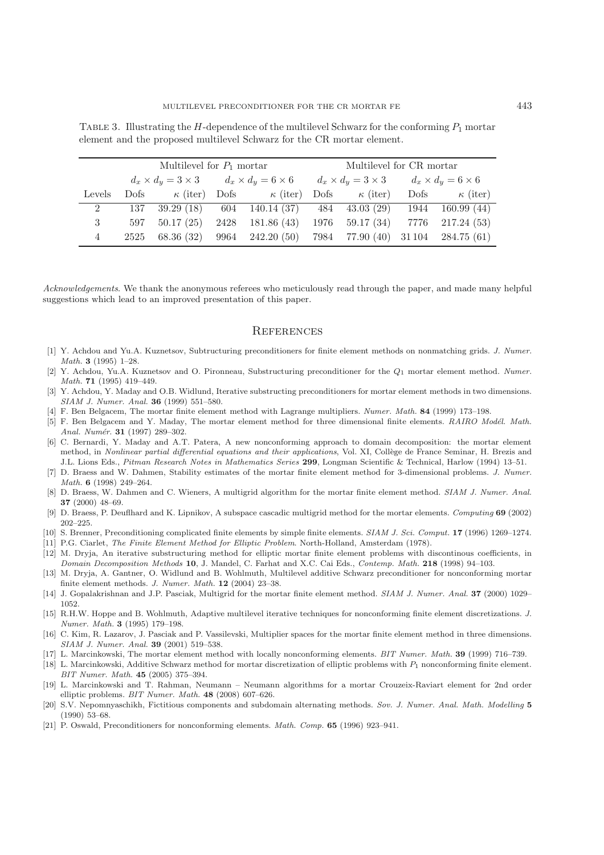|                | Multilevel for $P_1$ mortar |                   |                                                                                                                         |                                                                    | Multilevel for CR mortar |  |  |                      |
|----------------|-----------------------------|-------------------|-------------------------------------------------------------------------------------------------------------------------|--------------------------------------------------------------------|--------------------------|--|--|----------------------|
|                |                             |                   | $d_x \times d_y = 3 \times 3$ $d_x \times d_y = 6 \times 6$ $d_x \times d_y = 3 \times 3$ $d_x \times d_y = 6 \times 6$ |                                                                    |                          |  |  |                      |
| Levels         |                             |                   |                                                                                                                         | Dofs $\kappa$ (iter) Dofs $\kappa$ (iter) Dofs $\kappa$ (iter)     |                          |  |  | Dofs $\kappa$ (iter) |
| $\overline{2}$ |                             |                   |                                                                                                                         | 137 39.29 (18) 604 140.14 (37) 484 43.03 (29) 1944 160.99 (44)     |                          |  |  |                      |
| 3              |                             | $597$ $50.17(25)$ |                                                                                                                         | 2428 181.86 (43) 1976 59.17 (34) 7776 217.24 (53)                  |                          |  |  |                      |
| 4              |                             |                   |                                                                                                                         | 2525 68.36 (32) 9964 242.20 (50) 7984 77.90 (40) 31104 284.75 (61) |                          |  |  |                      |

<span id="page-14-19"></span>TABLE 3. Illustrating the H-dependence of the multilevel Schwarz for the conforming  $P_1$  mortar element and the proposed multilevel Schwarz for the CR mortar element.

*Acknowledgements*. We thank the anonymous referees who meticulously read through the paper, and made many helpful suggestions which lead to an improved presentation of this paper.

#### **REFERENCES**

- <span id="page-14-5"></span>[1] Y. Achdou and Yu.A. Kuznetsov, Subtructuring preconditioners for finite element methods on nonmatching grids. J. Numer. Math. **3** (1995) 1–28.
- [2] Y. Achdou, Yu.A. Kuznetsov and O. Pironneau, Substructuring preconditioner for the *Q*<sup>1</sup> mortar element method. Numer. Math. **71** (1995) 419–449.
- <span id="page-14-6"></span>[3] Y. Achdou, Y. Maday and O.B. Widlund, Iterative substructing preconditioners for mortar element methods in two dimensions. SIAM J. Numer. Anal. **36** (1999) 551–580.
- <span id="page-14-1"></span>[4] F. Ben Belgacem, The mortar finite element method with Lagrange multipliers. Numer. Math. **84** (1999) 173–198.
- <span id="page-14-2"></span>[5] F. Ben Belgacem and Y. Maday, The mortar element method for three dimensional finite elements. RAIRO Modél. Math. Anal. Numér. **31** (1997) 289-302.
- <span id="page-14-0"></span>[6] C. Bernardi, Y. Maday and A.T. Patera, A new nonconforming approach to domain decomposition: the mortar element method, in Nonlinear partial differential equations and their applications, Vol. XI, Collège de France Seminar, H. Brezis and J.L. Lions Eds., Pitman Research Notes in Mathematics Series **299**, Longman Scientific & Technical, Harlow (1994) 13–51.
- <span id="page-14-3"></span>[7] D. Braess and W. Dahmen, Stability estimates of the mortar finite element method for 3-dimensional problems. J. Numer. Math. **6** (1998) 249–264.
- <span id="page-14-9"></span>[8] D. Braess, W. Dahmen and C. Wieners, A multigrid algorithm for the mortar finite element method. SIAM J. Numer. Anal. **37** (2000) 48–69.
- <span id="page-14-10"></span>[9] D. Braess, P. Deuflhard and K. Lipnikov, A subspace cascadic multigrid method for the mortar elements. Computing **69** (2002) 202–225.
- <span id="page-14-15"></span>[10] S. Brenner, Preconditioning complicated finite elements by simple finite elements. SIAM J. Sci. Comput. **17** (1996) 1269–1274.
- [11] P.G. Ciarlet, The Finite Element Method for Elliptic Problem. North-Holland, Amsterdam (1978).
- <span id="page-14-7"></span>[12] M. Dryja, An iterative substructuring method for elliptic mortar finite element problems with discontinous coefficients, in Domain Decomposition Methods **10**, J. Mandel, C. Farhat and X.C. Cai Eds., Contemp. Math. **218** (1998) 94–103.
- <span id="page-14-17"></span>[13] M. Dryja, A. Gantner, O. Widlund and B. Wohlmuth, Multilevel additive Schwarz preconditioner for nonconforming mortar finite element methods. J. Numer. Math. **12** (2004) 23–38.
- <span id="page-14-8"></span>[14] J. Gopalakrishnan and J.P. Pasciak, Multigrid for the mortar finite element method. SIAM J. Numer. Anal. **37** (2000) 1029– 1052.
- <span id="page-14-18"></span>[15] R.H.W. Hoppe and B. Wohlmuth, Adaptive multilevel iterative techniques for nonconforming finite element discretizations. J. Numer. Math. **3** (1995) 179–198.
- <span id="page-14-4"></span>[16] C. Kim, R. Lazarov, J. Pasciak and P. Vassilevski, Multiplier spaces for the mortar finite element method in three dimensions. SIAM J. Numer. Anal. **39** (2001) 519–538.
- <span id="page-14-11"></span>[17] L. Marcinkowski, The mortar element method with locally nonconforming elements. BIT Numer. Math. **39** (1999) 716–739.
- <span id="page-14-12"></span>[18] L. Marcinkowski, Additive Schwarz method for mortar discretization of elliptic problems with *P*<sup>1</sup> nonconforming finite element. BIT Numer. Math. **45** (2005) 375–394.
- <span id="page-14-13"></span>[19] L. Marcinkowski and T. Rahman, Neumann – Neumann algorithms for a mortar Crouzeix-Raviart element for 2nd order elliptic problems. BIT Numer. Math. **48** (2008) 607–626.
- <span id="page-14-14"></span>[20] S.V. Nepomnyaschikh, Fictitious components and subdomain alternating methods. Sov. J. Numer. Anal. Math. Modelling **5** (1990) 53–68.
- <span id="page-14-16"></span>[21] P. Oswald, Preconditioners for nonconforming elements. Math. Comp. **65** (1996) 923–941.